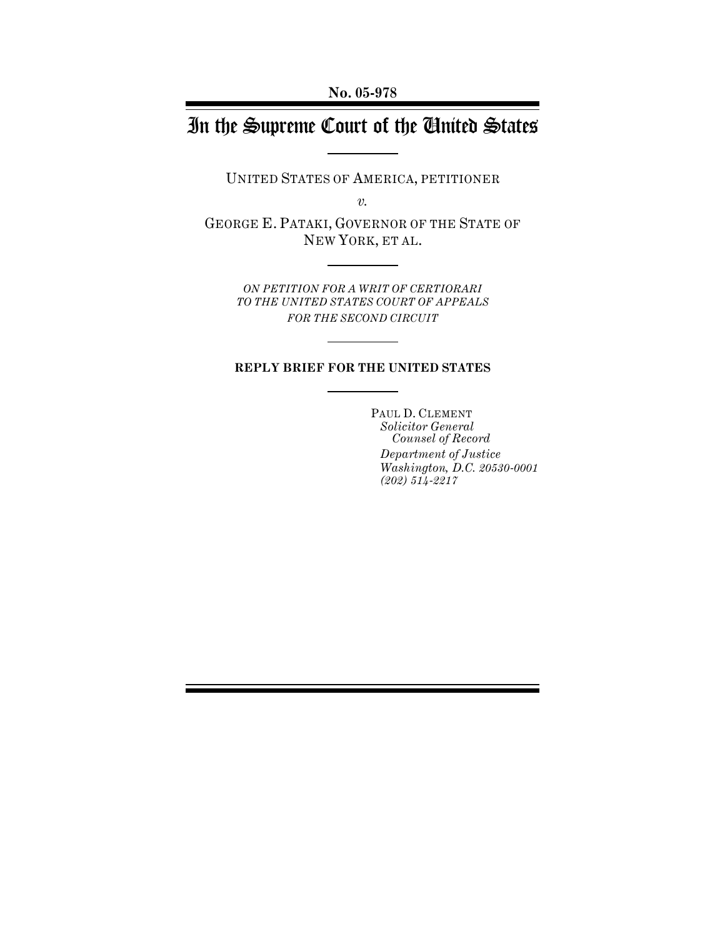**No. 05-978**

# In the Supreme Court of the United States

UNITED STATES OF AMERICA, PETITIONER

*v.*

GEORGE E. PATAKI, GOVERNOR OF THE STATE OF NEW YORK, ET AL.

> *ON PETITION FOR A WRIT OF CERTIORARI TO THE UNITED STATES COURT OF APPEALS FOR THE SECOND CIRCUIT*

### **REPLY BRIEF FOR THE UNITED STATES**

PAUL D. CLEMENT *Solicitor General Counsel of Record Department of Justice Washington, D.C. 20530-0001 (202) 514-2217*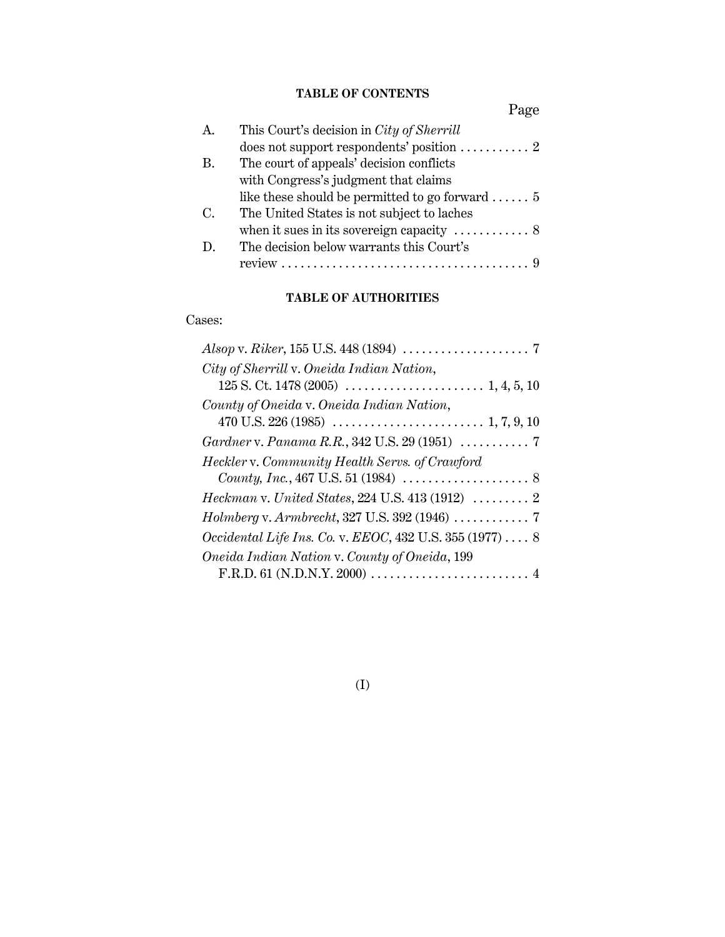# **TABLE OF CONTENTS**

|                | Page                                                            |
|----------------|-----------------------------------------------------------------|
| $\mathbf{A}$ . | This Court's decision in City of Sherrill                       |
|                | does not support respondents' position $\ldots \ldots \ldots 2$ |
| В.             | The court of appeals' decision conflicts                        |
|                | with Congress's judgment that claims                            |
|                | like these should be permitted to go forward $5$                |
| C.             | The United States is not subject to laches                      |
|                | when it sues in its sovereign capacity $\dots\dots\dots 8$      |
| $D_{\rm c}$    | The decision below warrants this Court's                        |
|                |                                                                 |

# **TABLE OF AUTHORITIES**

## Cases:

| City of Sherrill v. Oneida Indian Nation,                                |
|--------------------------------------------------------------------------|
|                                                                          |
| County of Oneida v. Oneida Indian Nation,                                |
|                                                                          |
| Gardner v. Panama R.R., 342 U.S. 29 (1951) $\ldots \ldots \ldots$ . 7    |
| Heckler v. Community Health Servs. of Crawford                           |
|                                                                          |
| $Heckman$ v. United States, 224 U.S. 413 (1912) $\ldots \ldots \ldots$ 2 |
|                                                                          |
| <i>Occidental Life Ins. Co. v. EEOC, 432 U.S. 355 (1977) </i> 8          |
| Oneida Indian Nation v. County of Oneida, 199                            |
|                                                                          |
|                                                                          |

# (I)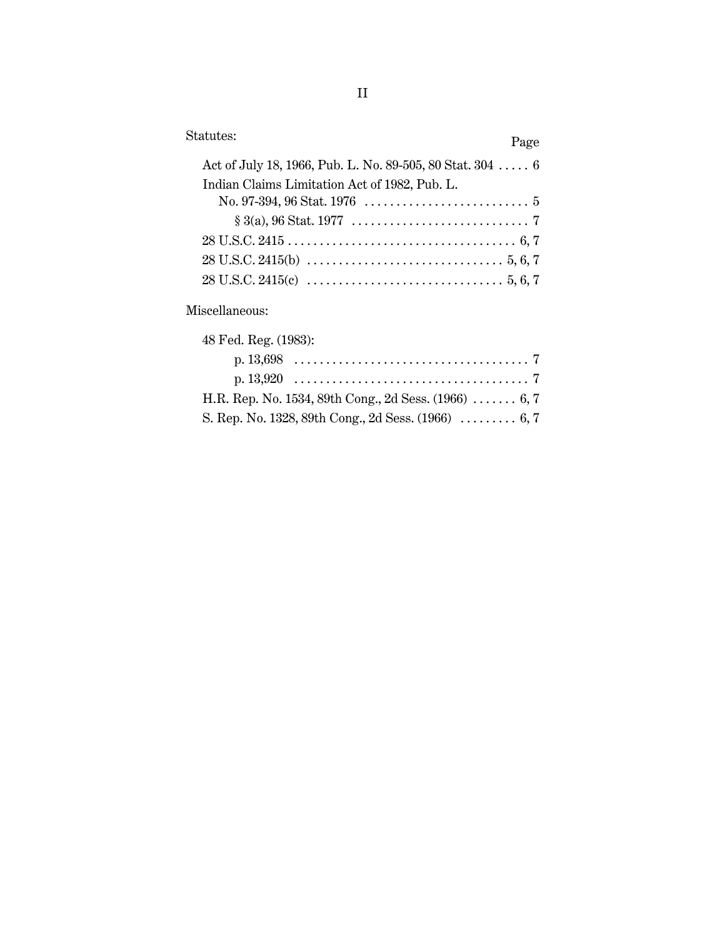| Statutes:                                                 | Page |
|-----------------------------------------------------------|------|
| Act of July 18, 1966, Pub. L. No. 89-505, 80 Stat. 304  6 |      |
| Indian Claims Limitation Act of 1982, Pub. L.             |      |
|                                                           |      |
|                                                           |      |
|                                                           |      |
|                                                           |      |
|                                                           |      |
|                                                           |      |

Miscellaneous:

| 48 Fed. Reg. (1983):                                   |  |
|--------------------------------------------------------|--|
|                                                        |  |
|                                                        |  |
| H.R. Rep. No. 1534, 89th Cong., 2d Sess. $(1966)$ 6, 7 |  |
| S. Rep. No. 1328, 89th Cong., 2d Sess. (1966)  6, 7    |  |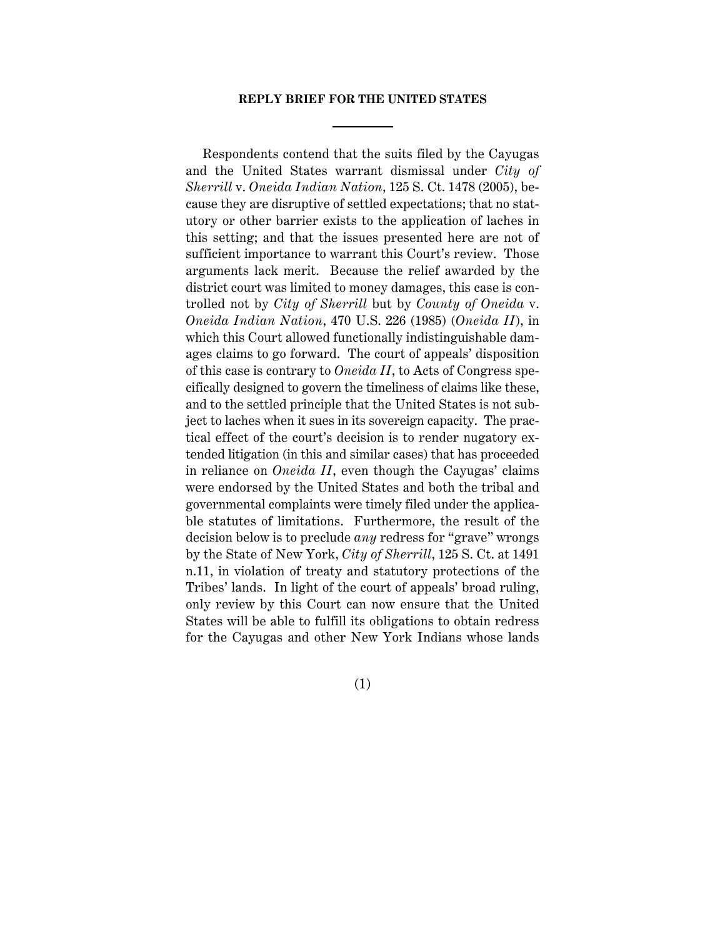#### **REPLY BRIEF FOR THE UNITED STATES**

Respondents contend that the suits filed by the Cayugas and the United States warrant dismissal under *City of Sherrill* v. *Oneida Indian Nation*, 125 S. Ct. 1478 (2005), because they are disruptive of settled expectations; that no statutory or other barrier exists to the application of laches in this setting; and that the issues presented here are not of sufficient importance to warrant this Court's review. Those arguments lack merit. Because the relief awarded by the district court was limited to money damages, this case is controlled not by *City of Sherrill* but by *County of Oneida* v. *Oneida Indian Nation*, 470 U.S. 226 (1985) (*Oneida II*), in which this Court allowed functionally indistinguishable damages claims to go forward. The court of appeals' disposition of this case is contrary to *Oneida II*, to Acts of Congress specifically designed to govern the timeliness of claims like these, and to the settled principle that the United States is not subject to laches when it sues in its sovereign capacity. The practical effect of the court's decision is to render nugatory extended litigation (in this and similar cases) that has proceeded in reliance on *Oneida II*, even though the Cayugas' claims were endorsed by the United States and both the tribal and governmental complaints were timely filed under the applicable statutes of limitations. Furthermore, the result of the decision below is to preclude *any* redress for "grave" wrongs by the State of New York, *City of Sherrill*, 125 S. Ct. at 1491 n.11, in violation of treaty and statutory protections of the Tribes' lands. In light of the court of appeals' broad ruling, only review by this Court can now ensure that the United States will be able to fulfill its obligations to obtain redress for the Cayugas and other New York Indians whose lands

(1)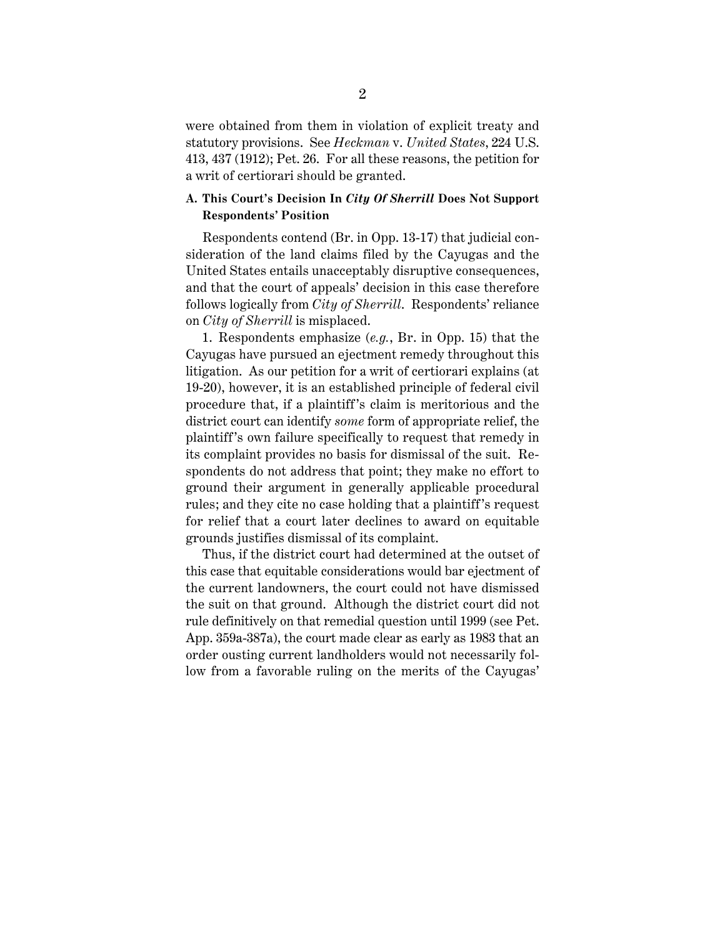were obtained from them in violation of explicit treaty and statutory provisions. See *Heckman* v. *United States*, 224 U.S. 413, 437 (1912); Pet. 26. For all these reasons, the petition for a writ of certiorari should be granted.

### **A. This Court's Decision In** *City Of Sherrill* **Does Not Support Respondents' Position**

Respondents contend (Br. in Opp. 13-17) that judicial consideration of the land claims filed by the Cayugas and the United States entails unacceptably disruptive consequences, and that the court of appeals' decision in this case therefore follows logically from *City of Sherrill*. Respondents' reliance on *City of Sherrill* is misplaced.

1. Respondents emphasize (*e.g.*, Br. in Opp. 15) that the Cayugas have pursued an ejectment remedy throughout this litigation. As our petition for a writ of certiorari explains (at 19-20), however, it is an established principle of federal civil procedure that, if a plaintiff's claim is meritorious and the district court can identify *some* form of appropriate relief, the plaintiff's own failure specifically to request that remedy in its complaint provides no basis for dismissal of the suit. Respondents do not address that point; they make no effort to ground their argument in generally applicable procedural rules; and they cite no case holding that a plaintiff's request for relief that a court later declines to award on equitable grounds justifies dismissal of its complaint.

Thus, if the district court had determined at the outset of this case that equitable considerations would bar ejectment of the current landowners, the court could not have dismissed the suit on that ground. Although the district court did not rule definitively on that remedial question until 1999 (see Pet. App. 359a-387a), the court made clear as early as 1983 that an order ousting current landholders would not necessarily follow from a favorable ruling on the merits of the Cayugas'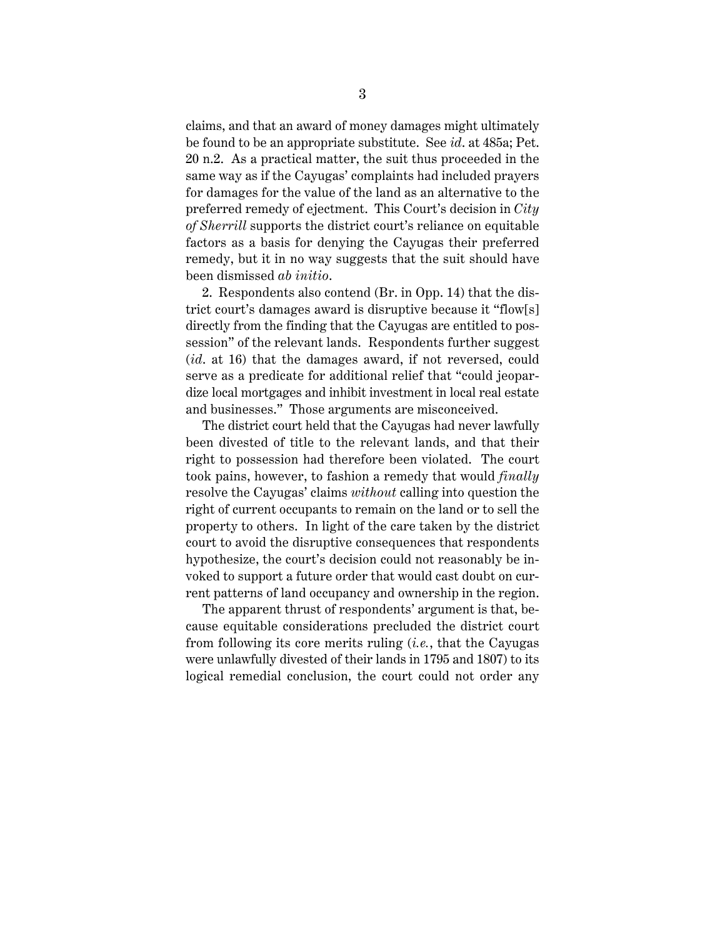claims, and that an award of money damages might ultimately be found to be an appropriate substitute. See *id*. at 485a; Pet. 20 n.2. As a practical matter, the suit thus proceeded in the same way as if the Cayugas' complaints had included prayers for damages for the value of the land as an alternative to the preferred remedy of ejectment. This Court's decision in *City of Sherrill* supports the district court's reliance on equitable factors as a basis for denying the Cayugas their preferred remedy, but it in no way suggests that the suit should have been dismissed *ab initio*.

2. Respondents also contend (Br. in Opp. 14) that the district court's damages award is disruptive because it "flow[s] directly from the finding that the Cayugas are entitled to possession" of the relevant lands. Respondents further suggest (*id*. at 16) that the damages award, if not reversed, could serve as a predicate for additional relief that "could jeopardize local mortgages and inhibit investment in local real estate and businesses." Those arguments are misconceived.

The district court held that the Cayugas had never lawfully been divested of title to the relevant lands, and that their right to possession had therefore been violated. The court took pains, however, to fashion a remedy that would *finally* resolve the Cayugas' claims *without* calling into question the right of current occupants to remain on the land or to sell the property to others. In light of the care taken by the district court to avoid the disruptive consequences that respondents hypothesize, the court's decision could not reasonably be invoked to support a future order that would cast doubt on current patterns of land occupancy and ownership in the region.

The apparent thrust of respondents' argument is that, because equitable considerations precluded the district court from following its core merits ruling (*i.e.*, that the Cayugas were unlawfully divested of their lands in 1795 and 1807) to its logical remedial conclusion, the court could not order any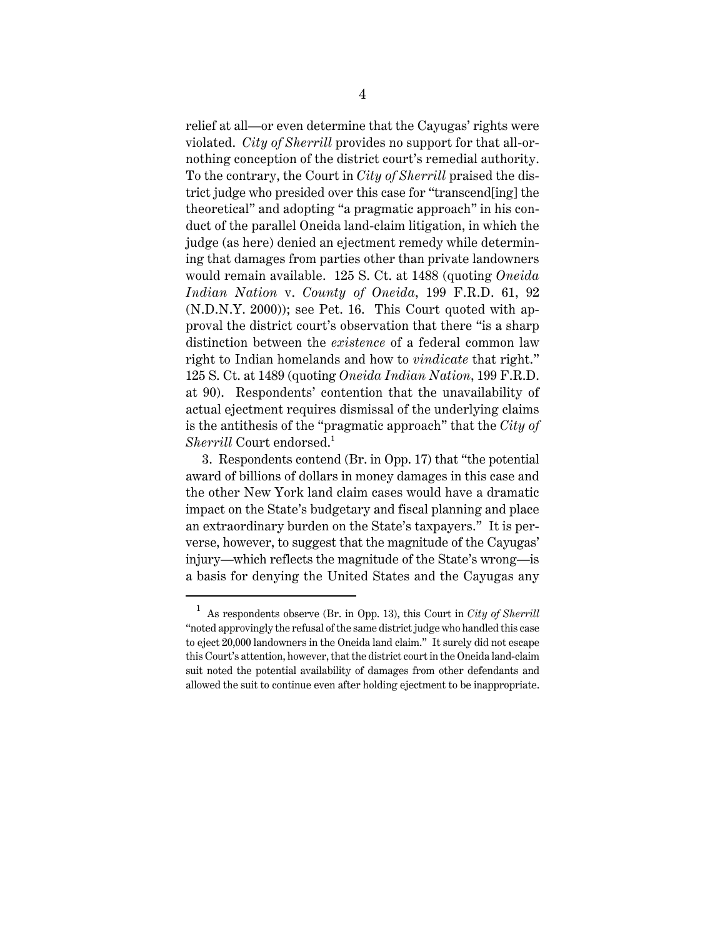relief at all—or even determine that the Cayugas' rights were violated. *City of Sherrill* provides no support for that all-ornothing conception of the district court's remedial authority. To the contrary, the Court in *City of Sherrill* praised the district judge who presided over this case for "transcend[ing] the theoretical" and adopting "a pragmatic approach" in his conduct of the parallel Oneida land-claim litigation, in which the judge (as here) denied an ejectment remedy while determining that damages from parties other than private landowners would remain available. 125 S. Ct. at 1488 (quoting *Oneida Indian Nation* v. *County of Oneida*, 199 F.R.D. 61, 92 (N.D.N.Y. 2000)); see Pet. 16. This Court quoted with approval the district court's observation that there "is a sharp distinction between the *existence* of a federal common law right to Indian homelands and how to *vindicate* that right." 125 S. Ct. at 1489 (quoting *Oneida Indian Nation*, 199 F.R.D. at 90). Respondents' contention that the unavailability of actual ejectment requires dismissal of the underlying claims is the antithesis of the "pragmatic approach" that the *City of Sherrill* Court endorsed.<sup>1</sup>

3. Respondents contend (Br. in Opp. 17) that "the potential award of billions of dollars in money damages in this case and the other New York land claim cases would have a dramatic impact on the State's budgetary and fiscal planning and place an extraordinary burden on the State's taxpayers." It is perverse, however, to suggest that the magnitude of the Cayugas' injury—which reflects the magnitude of the State's wrong—is a basis for denying the United States and the Cayugas any

<sup>1</sup> As respondents observe (Br. in Opp. 13), this Court in *City of Sherrill* "noted approvingly the refusal of the same district judge who handled this case to eject 20,000 landowners in the Oneida land claim." It surely did not escape this Court's attention, however, that the district court in the Oneida land-claim suit noted the potential availability of damages from other defendants and allowed the suit to continue even after holding ejectment to be inappropriate.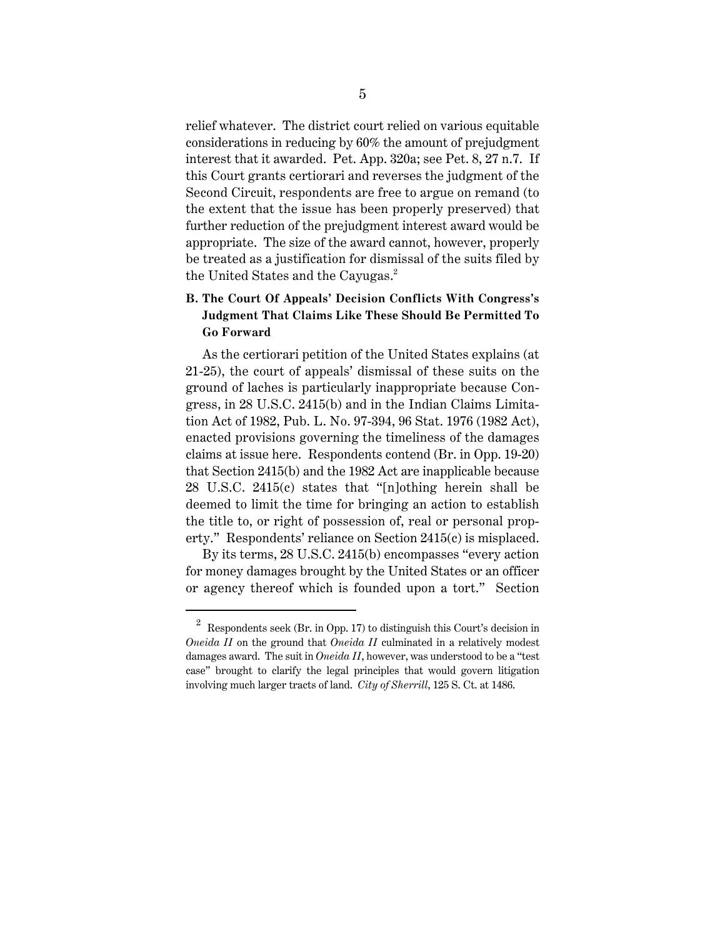relief whatever. The district court relied on various equitable considerations in reducing by 60% the amount of prejudgment interest that it awarded. Pet. App. 320a; see Pet. 8, 27 n.7. If this Court grants certiorari and reverses the judgment of the Second Circuit, respondents are free to argue on remand (to the extent that the issue has been properly preserved) that further reduction of the prejudgment interest award would be appropriate. The size of the award cannot, however, properly be treated as a justification for dismissal of the suits filed by the United States and the Cayugas. $<sup>2</sup>$ </sup>

# **B. The Court Of Appeals' Decision Conflicts With Congress's Judgment That Claims Like These Should Be Permitted To Go Forward**

As the certiorari petition of the United States explains (at 21-25), the court of appeals' dismissal of these suits on the ground of laches is particularly inappropriate because Congress, in 28 U.S.C. 2415(b) and in the Indian Claims Limitation Act of 1982, Pub. L. No. 97-394, 96 Stat. 1976 (1982 Act), enacted provisions governing the timeliness of the damages claims at issue here. Respondents contend (Br. in Opp. 19-20) that Section 2415(b) and the 1982 Act are inapplicable because 28 U.S.C. 2415(c) states that "[n]othing herein shall be deemed to limit the time for bringing an action to establish the title to, or right of possession of, real or personal property." Respondents' reliance on Section 2415(c) is misplaced.

By its terms, 28 U.S.C. 2415(b) encompasses "every action for money damages brought by the United States or an officer or agency thereof which is founded upon a tort." Section

<sup>&</sup>lt;sup>2</sup> Respondents seek (Br. in Opp. 17) to distinguish this Court's decision in *Oneida II* on the ground that *Oneida II* culminated in a relatively modest damages award. The suit in *Oneida II*, however, was understood to be a "test case" brought to clarify the legal principles that would govern litigation involving much larger tracts of land. *City of Sherrill*, 125 S. Ct. at 1486.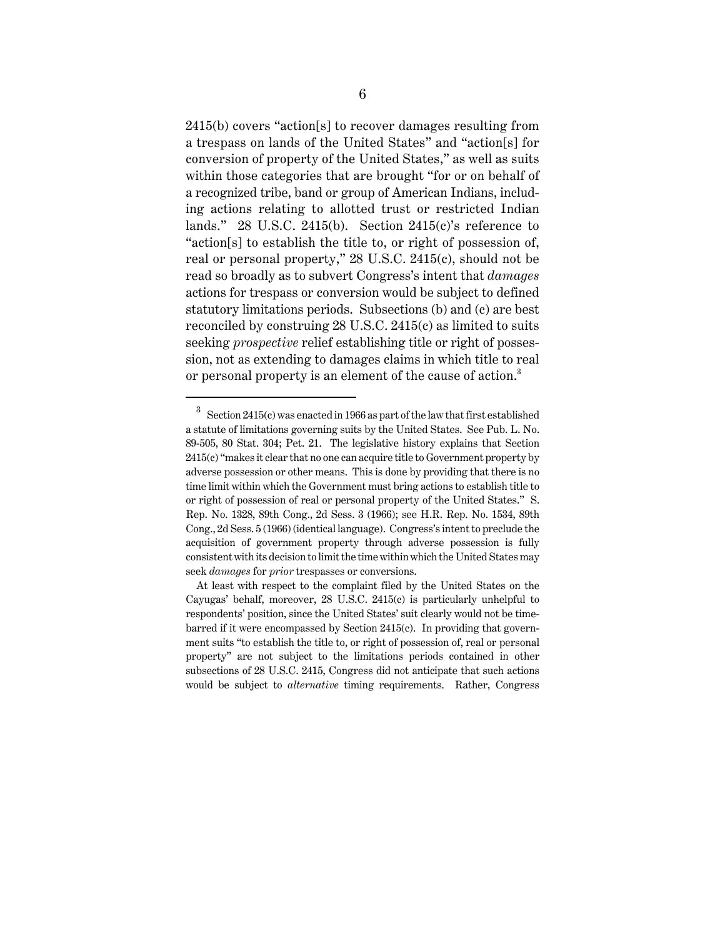2415(b) covers "action[s] to recover damages resulting from a trespass on lands of the United States" and "action[s] for conversion of property of the United States," as well as suits within those categories that are brought "for or on behalf of a recognized tribe, band or group of American Indians, including actions relating to allotted trust or restricted Indian lands." 28 U.S.C. 2415(b). Section 2415(c)'s reference to "action[s] to establish the title to, or right of possession of, real or personal property," 28 U.S.C. 2415(c), should not be read so broadly as to subvert Congress's intent that *damages* actions for trespass or conversion would be subject to defined statutory limitations periods. Subsections (b) and (c) are best reconciled by construing 28 U.S.C. 2415(c) as limited to suits seeking *prospective* relief establishing title or right of possession, not as extending to damages claims in which title to real or personal property is an element of the cause of action.<sup>3</sup>

<sup>3</sup> Section 2415(c) was enacted in 1966 as part of the law that first established a statute of limitations governing suits by the United States. See Pub. L. No. 89-505, 80 Stat. 304; Pet. 21. The legislative history explains that Section 2415(c) "makes it clear that no one can acquire title to Government property by adverse possession or other means. This is done by providing that there is no time limit within which the Government must bring actions to establish title to or right of possession of real or personal property of the United States." S. Rep. No. 1328, 89th Cong., 2d Sess. 3 (1966); see H.R. Rep. No. 1534, 89th Cong., 2d Sess. 5 (1966) (identical language). Congress's intent to preclude the acquisition of government property through adverse possession is fully consistent with its decision to limit the time within which the United States may seek *damages* for *prior* trespasses or conversions.

At least with respect to the complaint filed by the United States on the Cayugas' behalf, moreover, 28 U.S.C. 2415(c) is particularly unhelpful to respondents' position, since the United States' suit clearly would not be timebarred if it were encompassed by Section 2415(c). In providing that government suits "to establish the title to, or right of possession of, real or personal property" are not subject to the limitations periods contained in other subsections of 28 U.S.C. 2415, Congress did not anticipate that such actions would be subject to *alternative* timing requirements. Rather, Congress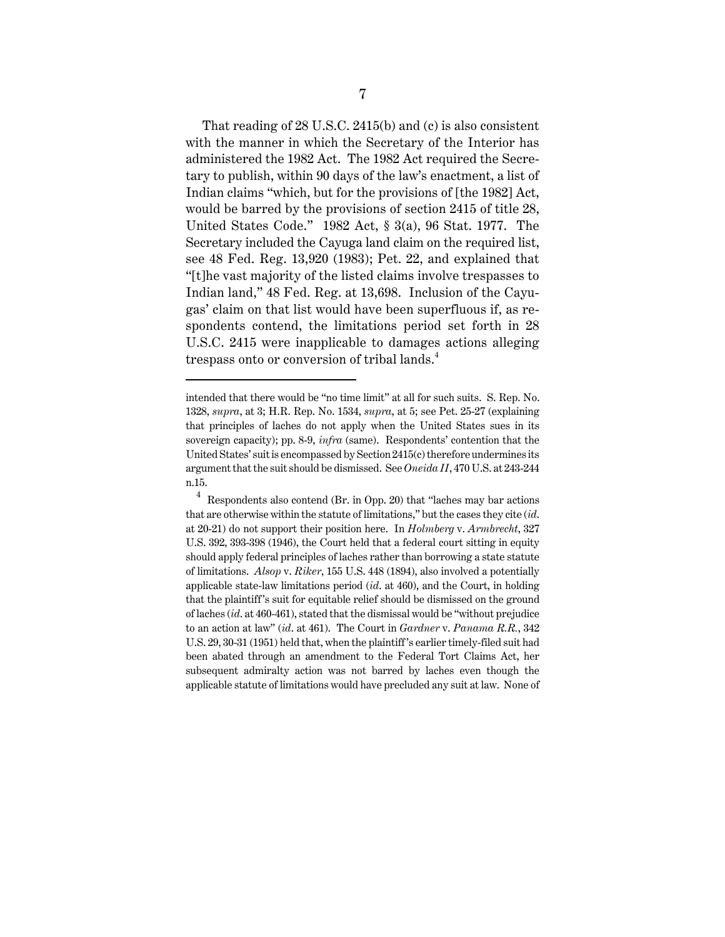That reading of 28 U.S.C. 2415(b) and (c) is also consistent with the manner in which the Secretary of the Interior has administered the 1982 Act. The 1982 Act required the Secretary to publish, within 90 days of the law's enactment, a list of Indian claims "which, but for the provisions of [the 1982] Act, would be barred by the provisions of section 2415 of title 28, United States Code." 1982 Act, § 3(a), 96 Stat. 1977. The Secretary included the Cayuga land claim on the required list, see 48 Fed. Reg. 13,920 (1983); Pet. 22, and explained that "[t]he vast majority of the listed claims involve trespasses to Indian land," 48 Fed. Reg. at 13,698. Inclusion of the Cayugas' claim on that list would have been superfluous if, as respondents contend, the limitations period set forth in 28 U.S.C. 2415 were inapplicable to damages actions alleging trespass onto or conversion of tribal lands.<sup>4</sup>

intended that there would be "no time limit" at all for such suits. S. Rep. No. 1328, *supra*, at 3; H.R. Rep. No. 1534, *supra*, at 5; see Pet. 25-27 (explaining that principles of laches do not apply when the United States sues in its sovereign capacity); pp. 8-9, *infra* (same). Respondents' contention that the United States' suit is encompassed by Section 2415(c) therefore undermines its argument that the suit should be dismissed. See *Oneida II*, 470 U.S. at 243-244 n.15.

<sup>4</sup> Respondents also contend (Br. in Opp. 20) that "laches may bar actions that are otherwise within the statute of limitations," but the cases they cite (*id*. at 20-21) do not support their position here. In *Holmberg* v. *Armbrecht*, 327 U.S. 392, 393-398 (1946), the Court held that a federal court sitting in equity should apply federal principles of laches rather than borrowing a state statute of limitations. *Alsop* v. *Riker*, 155 U.S. 448 (1894), also involved a potentially applicable state-law limitations period (*id*. at 460), and the Court, in holding that the plaintiff 's suit for equitable relief should be dismissed on the ground of laches (*id*. at 460-461), stated that the dismissal would be "without prejudice to an action at law" (*id*. at 461). The Court in *Gardner* v. *Panama R.R.*, 342 U.S. 29, 30-31 (1951) held that, when the plaintiff 's earlier timely-filed suit had been abated through an amendment to the Federal Tort Claims Act, her subsequent admiralty action was not barred by laches even though the applicable statute of limitations would have precluded any suit at law. None of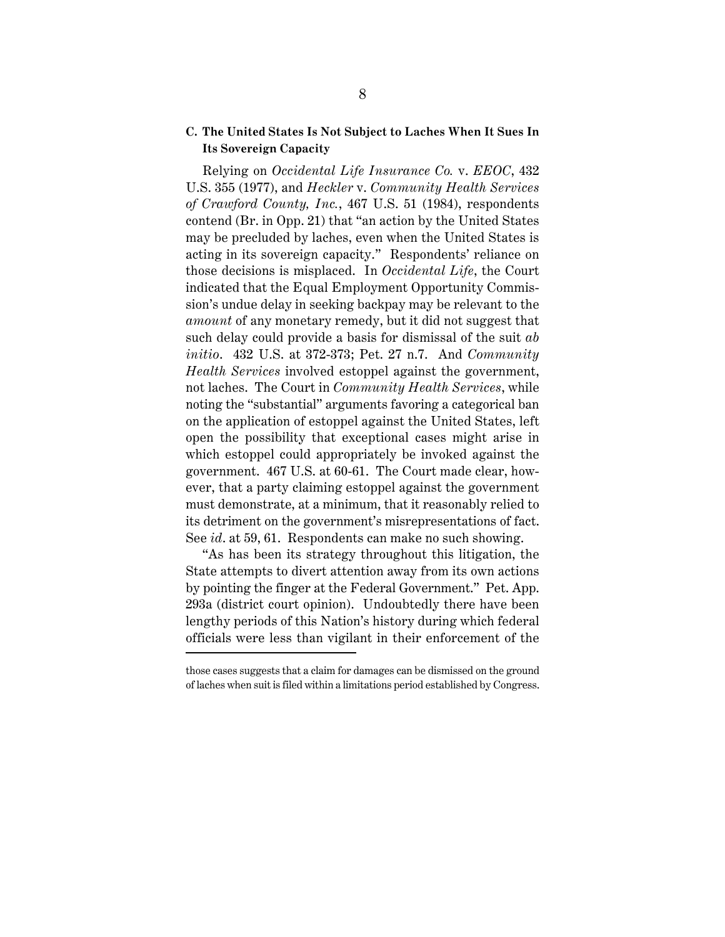### **C. The United States Is Not Subject to Laches When It Sues In Its Sovereign Capacity**

Relying on *Occidental Life Insurance Co.* v. *EEOC*, 432 U.S. 355 (1977), and *Heckler* v. *Community Health Services of Crawford County, Inc.*, 467 U.S. 51 (1984), respondents contend (Br. in Opp. 21) that "an action by the United States may be precluded by laches, even when the United States is acting in its sovereign capacity." Respondents' reliance on those decisions is misplaced. In *Occidental Life*, the Court indicated that the Equal Employment Opportunity Commission's undue delay in seeking backpay may be relevant to the *amount* of any monetary remedy, but it did not suggest that such delay could provide a basis for dismissal of the suit *ab initio*. 432 U.S. at 372-373; Pet. 27 n.7. And *Community Health Services* involved estoppel against the government, not laches. The Court in *Community Health Services*, while noting the "substantial" arguments favoring a categorical ban on the application of estoppel against the United States, left open the possibility that exceptional cases might arise in which estoppel could appropriately be invoked against the government. 467 U.S. at 60-61. The Court made clear, however, that a party claiming estoppel against the government must demonstrate, at a minimum, that it reasonably relied to its detriment on the government's misrepresentations of fact. See *id*. at 59, 61. Respondents can make no such showing.

"As has been its strategy throughout this litigation, the State attempts to divert attention away from its own actions by pointing the finger at the Federal Government." Pet. App. 293a (district court opinion). Undoubtedly there have been lengthy periods of this Nation's history during which federal officials were less than vigilant in their enforcement of the

those cases suggests that a claim for damages can be dismissed on the ground of laches when suit is filed within a limitations period established by Congress.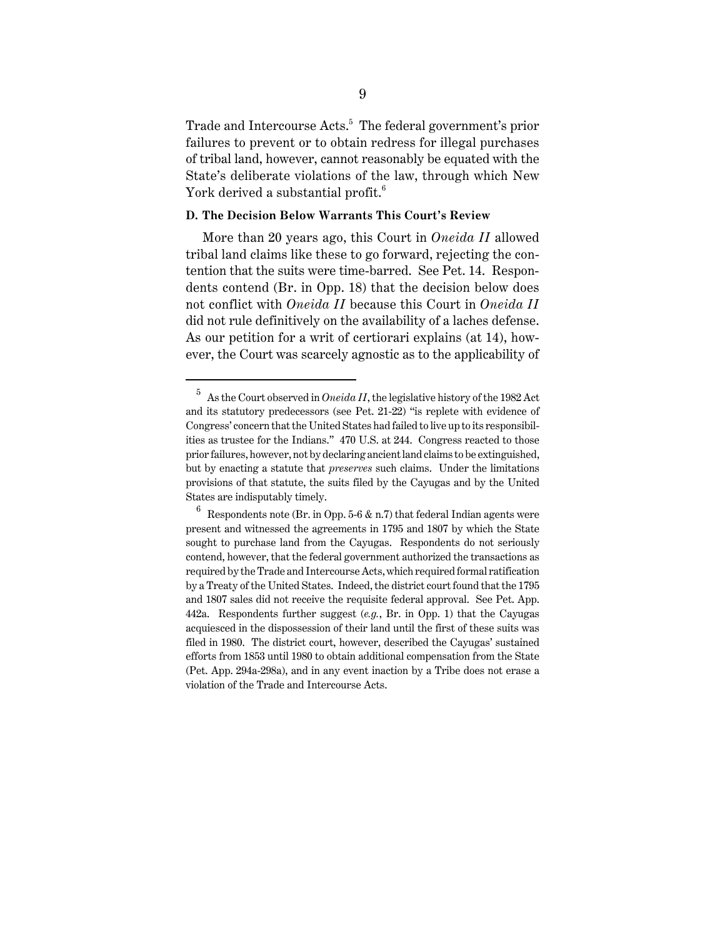Trade and Intercourse Acts.<sup>5</sup> The federal government's prior failures to prevent or to obtain redress for illegal purchases of tribal land, however, cannot reasonably be equated with the State's deliberate violations of the law, through which New York derived a substantial profit.<sup>6</sup>

### **D. The Decision Below Warrants This Court's Review**

More than 20 years ago, this Court in *Oneida II* allowed tribal land claims like these to go forward, rejecting the contention that the suits were time-barred. See Pet. 14. Respondents contend (Br. in Opp. 18) that the decision below does not conflict with *Oneida II* because this Court in *Oneida II* did not rule definitively on the availability of a laches defense. As our petition for a writ of certiorari explains (at 14), however, the Court was scarcely agnostic as to the applicability of

<sup>5</sup> As the Court observed in *Oneida II*, the legislative history of the 1982 Act and its statutory predecessors (see Pet. 21-22) "is replete with evidence of Congress' concern that the United States had failed to live up to its responsibilities as trustee for the Indians." 470 U.S. at 244. Congress reacted to those prior failures, however, not by declaring ancient land claims to be extinguished, but by enacting a statute that *preserves* such claims. Under the limitations provisions of that statute, the suits filed by the Cayugas and by the United States are indisputably timely.

 $6$  Respondents note (Br. in Opp. 5-6 & n.7) that federal Indian agents were present and witnessed the agreements in 1795 and 1807 by which the State sought to purchase land from the Cayugas. Respondents do not seriously contend, however, that the federal government authorized the transactions as required by the Trade and Intercourse Acts, which required formal ratification by a Treaty of the United States. Indeed, the district court found that the 1795 and 1807 sales did not receive the requisite federal approval. See Pet. App. 442a. Respondents further suggest (*e.g.*, Br. in Opp. 1) that the Cayugas acquiesced in the dispossession of their land until the first of these suits was filed in 1980. The district court, however, described the Cayugas' sustained efforts from 1853 until 1980 to obtain additional compensation from the State (Pet. App. 294a-298a), and in any event inaction by a Tribe does not erase a violation of the Trade and Intercourse Acts.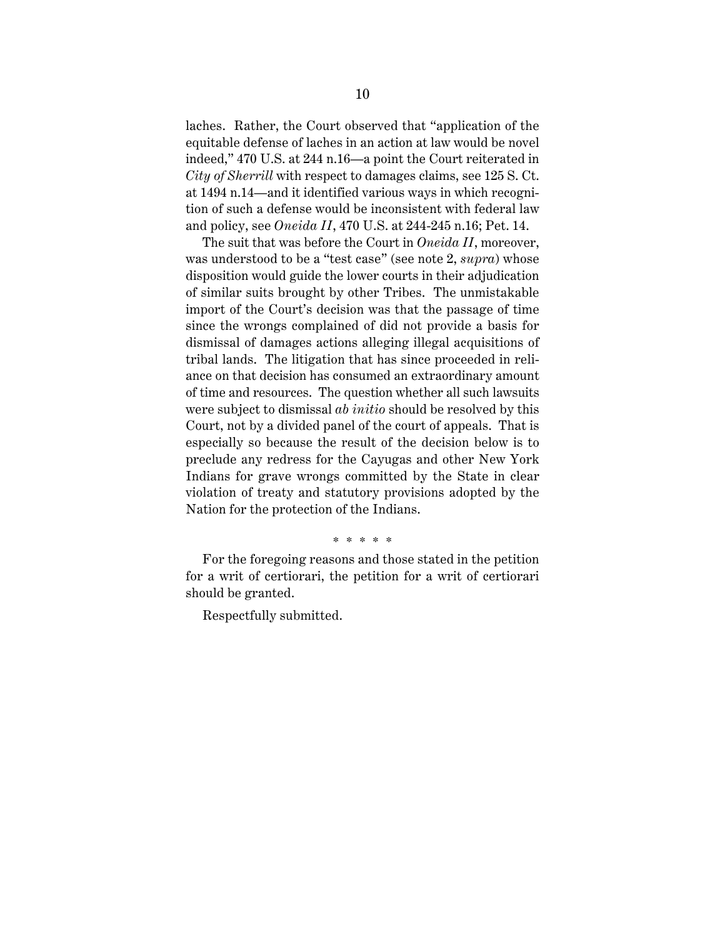laches. Rather, the Court observed that "application of the equitable defense of laches in an action at law would be novel indeed," 470 U.S. at 244 n.16—a point the Court reiterated in *City of Sherrill* with respect to damages claims, see 125 S. Ct. at 1494 n.14—and it identified various ways in which recognition of such a defense would be inconsistent with federal law and policy, see *Oneida II*, 470 U.S. at 244-245 n.16; Pet. 14.

The suit that was before the Court in *Oneida II*, moreover, was understood to be a "test case" (see note 2, *supra*) whose disposition would guide the lower courts in their adjudication of similar suits brought by other Tribes. The unmistakable import of the Court's decision was that the passage of time since the wrongs complained of did not provide a basis for dismissal of damages actions alleging illegal acquisitions of tribal lands. The litigation that has since proceeded in reliance on that decision has consumed an extraordinary amount of time and resources. The question whether all such lawsuits were subject to dismissal *ab initio* should be resolved by this Court, not by a divided panel of the court of appeals. That is especially so because the result of the decision below is to preclude any redress for the Cayugas and other New York Indians for grave wrongs committed by the State in clear violation of treaty and statutory provisions adopted by the Nation for the protection of the Indians.

#### \* \* \* \* \*

For the foregoing reasons and those stated in the petition for a writ of certiorari, the petition for a writ of certiorari should be granted.

Respectfully submitted.